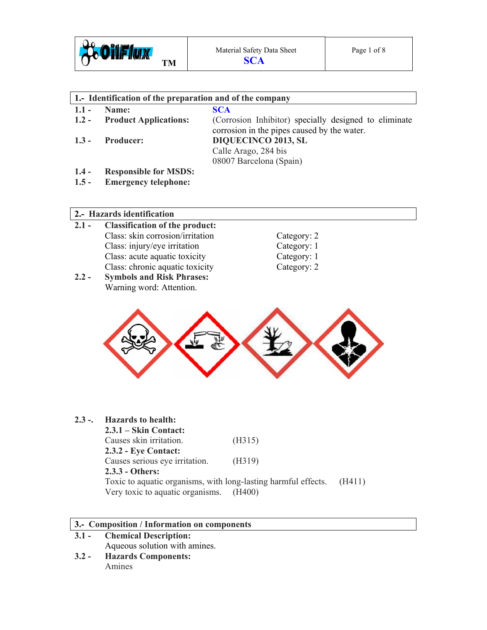

| 1. Identification of the preparation and of the company |                              |                                                                                                      |
|---------------------------------------------------------|------------------------------|------------------------------------------------------------------------------------------------------|
| $1.1 -$                                                 | Name:                        | <b>SCA</b>                                                                                           |
| $1.2 -$                                                 | <b>Product Applications:</b> | (Corrosion Inhibitor) specially designed to eliminate<br>corrosion in the pipes caused by the water. |
| $1.3 -$                                                 | <b>Producer:</b>             | <b>DIQUECINCO 2013, SL</b>                                                                           |
|                                                         |                              | Calle Arago, 284 bis                                                                                 |
|                                                         |                              | 08007 Barcelona (Spain)                                                                              |
| $1.4 -$                                                 | <b>Responsible for MSDS:</b> |                                                                                                      |
| $1.5 -$                                                 | <b>Emergency telephone:</b>  |                                                                                                      |

# **2.- Hazards identification**

- **2.1 Classification of the product:**  Class: skin corrosion/irritation Category: 2 Class: injury/eye irritation Category: 1 Class: acute aquatic toxicity Category: 1 Class: chronic aquatic toxicity Category: 2
- **2.2 Symbols and Risk Phrases:**  Warning word: Attention.



# **2.3 -. Hazards to health:**

 **2.3.1 – Skin Contact:**  Causes skin irritation. (H315) **2.3.2 - Eye Contact:**  Causes serious eye irritation. (H319) **2.3.3 - Others:**  Toxic to aquatic organisms, with long-lasting harmful effects. (H411) Very toxic to aquatic organisms. (H400)

# **3.- Composition / Information on components**

- **3.1 Chemical Description:**  Aqueous solution with amines.
- **3.2 Hazards Components:**  Amines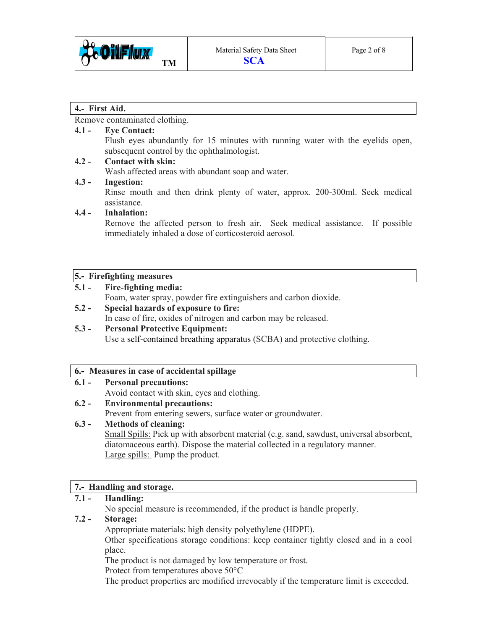

#### **4.- First Aid.**

Remove contaminated clothing.

### **4.1 - Eye Contact:**

Flush eyes abundantly for 15 minutes with running water with the eyelids open, subsequent control by the ophthalmologist.

#### **4.2 - Contact with skin:**

Wash affected areas with abundant soap and water.

#### **4.3 - Ingestion:**

Rinse mouth and then drink plenty of water, approx. 200-300ml. Seek medical assistance.

#### **4.4 - Inhalation:**

Remove the affected person to fresh air. Seek medical assistance. If possible immediately inhaled a dose of corticosteroid aerosol.

#### **5.- Firefighting measures**

#### **5.1 - Fire-fighting media:**

Foam, water spray, powder fire extinguishers and carbon dioxide.

- **5.2 Special hazards of exposure to fire:**  In case of fire, oxides of nitrogen and carbon may be released.
- **5.3 Personal Protective Equipment:**  Use a self-contained breathing apparatus (SCBA) and protective clothing.

#### **6.- Measures in case of accidental spillage**

#### **6.1 - Personal precautions:**

Avoid contact with skin, eyes and clothing.

**6.2 - Environmental precautions:** 

Prevent from entering sewers, surface water or groundwater.

## **6.3 - Methods of cleaning:**

Small Spills: Pick up with absorbent material (e.g. sand, sawdust, universal absorbent, diatomaceous earth). Dispose the material collected in a regulatory manner. Large spills: Pump the product.

## **7.- Handling and storage.**

## **7.1 - Handling:**

No special measure is recommended, if the product is handle properly.

## **7.2 - Storage:**

Appropriate materials: high density polyethylene (HDPE).

 Other specifications storage conditions: keep container tightly closed and in a cool place.

The product is not damaged by low temperature or frost.

Protect from temperatures above 50°C

The product properties are modified irrevocably if the temperature limit is exceeded.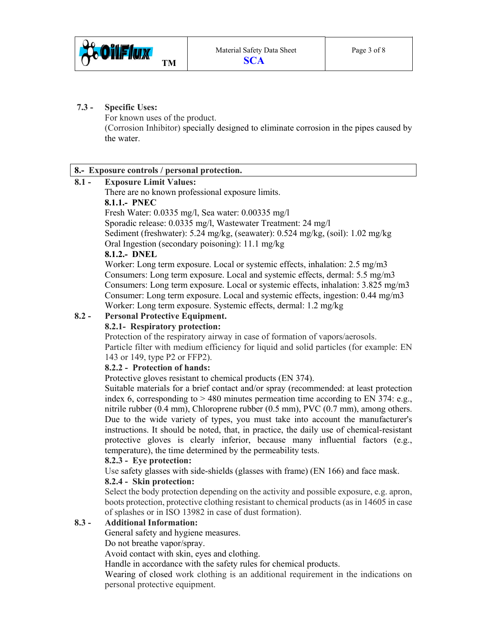

#### **7.3 - Specific Uses:**

For known uses of the product. (Corrosion Inhibitor) specially designed to eliminate corrosion in the pipes caused by the water.

# **8.- Exposure controls / personal protection.**

# **8.1 - Exposure Limit Values:**

There are no known professional exposure limits.

# **8.1.1.- PNEC**

Fresh Water: 0.0335 mg/l, Sea water: 0.00335 mg/l

Sporadic release: 0.0335 mg/l, Wastewater Treatment: 24 mg/l

Sediment (freshwater): 5.24 mg/kg, (seawater): 0.524 mg/kg, (soil): 1.02 mg/kg

Oral Ingestion (secondary poisoning): 11.1 mg/kg

# **8.1.2.- DNEL**

 Worker: Long term exposure. Local or systemic effects, inhalation: 2.5 mg/m3 Consumers: Long term exposure. Local and systemic effects, dermal: 5.5 mg/m3 Consumers: Long term exposure. Local or systemic effects, inhalation: 3.825 mg/m3 Consumer: Long term exposure. Local and systemic effects, ingestion: 0.44 mg/m3 Worker: Long term exposure. Systemic effects, dermal: 1.2 mg/kg

# **8.2 - Personal Protective Equipment.**

## **8.2.1- Respiratory protection:**

Protection of the respiratory airway in case of formation of vapors/aerosols. Particle filter with medium efficiency for liquid and solid particles (for example: EN 143 or 149, type P2 or FFP2).

## **8.2.2 - Protection of hands:**

Protective gloves resistant to chemical products (EN 374).

 Suitable materials for a brief contact and/or spray (recommended: at least protection index 6, corresponding to  $> 480$  minutes permeation time according to EN 374: e.g., nitrile rubber (0.4 mm), Chloroprene rubber (0.5 mm), PVC (0.7 mm), among others. Due to the wide variety of types, you must take into account the manufacturer's instructions. It should be noted, that, in practice, the daily use of chemical-resistant protective gloves is clearly inferior, because many influential factors (e.g., temperature), the time determined by the permeability tests.

## **8.2.3 - Eye protection:**

Use safety glasses with side-shields (glasses with frame) (EN 166) and face mask.

## **8.2.4 - Skin protection:**

Select the body protection depending on the activity and possible exposure, e.g. apron, boots protection, protective clothing resistant to chemical products (as in 14605 in case of splashes or in ISO 13982 in case of dust formation).

## **8.3 - Additional Information:**

General safety and hygiene measures.

Do not breathe vapor/spray.

Avoid contact with skin, eyes and clothing.

Handle in accordance with the safety rules for chemical products.

 Wearing of closed work clothing is an additional requirement in the indications on personal protective equipment.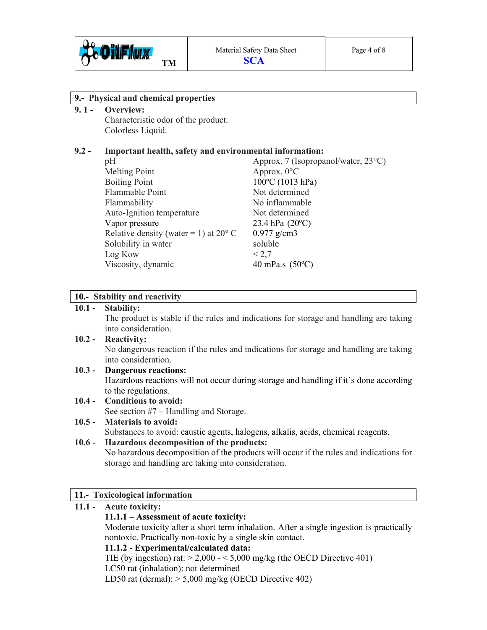

#### **9.- Physical and chemical properties**

#### **9. 1 - Overview:**

Characteristic odor of the product. Colorless Liquid.

#### **9.2 - Important health, safety and environmental information:**

pH Approx. 7 (Isopropanol/water, 23<sup>o</sup>C) Melting Point Approx. 0°C Boiling Point 100<sup>o</sup>C (1013 hPa) Flammable Point Not determined Flammability No inflammable Auto-Ignition temperature Not determined Vapor pressure 23.4 hPa (20<sup>o</sup>C) Relative density (water = 1) at  $20^{\circ}$  C 0.977 g/cm3 Solubility in water soluble  $\text{Log}$  Kow  $\leq 2.7$ Viscosity, dynamic 40 mPa.s (50°C)

#### **10.- Stability and reactivity**

#### **10.1 - Stability:**

The product is **s**table if the rules and indications for storage and handling are taking into consideration.

# **10.2 - Reactivity:**  No dangerous reaction if the rules and indications for storage and handling are taking into consideration.

#### **10.3 - Dangerous reactions:**  Hazardous reactions will not occur during storage and handling if it's done according to the regulations.

**10.4 - Conditions to avoid:**  See section #7 – Handling and Storage.

## **10.5 - Materials to avoid:**

Substances to avoid: caustic agents, halogens, alkalis, acids, chemical reagents.

#### **10.6 - Hazardous decomposition of the products:**

No hazardous decomposition of the products will occur if the rules and indications for storage and handling are taking into consideration.

#### **11.- Toxicological information**

# **11.1 - Acute toxicity: 11.1.1 – Assessment of acute toxicity:**  Moderate toxicity after a short term inhalation. After a single ingestion is practically nontoxic. Practically non-toxic by a single skin contact. **11.1.2 - Experimental/calculated data:**  TIE (by ingestion) rat:  $> 2,000 - 5,000$  mg/kg (the OECD Directive 401) LC50 rat (inhalation): not determined LD50 rat (dermal):  $> 5,000$  mg/kg (OECD Directive 402)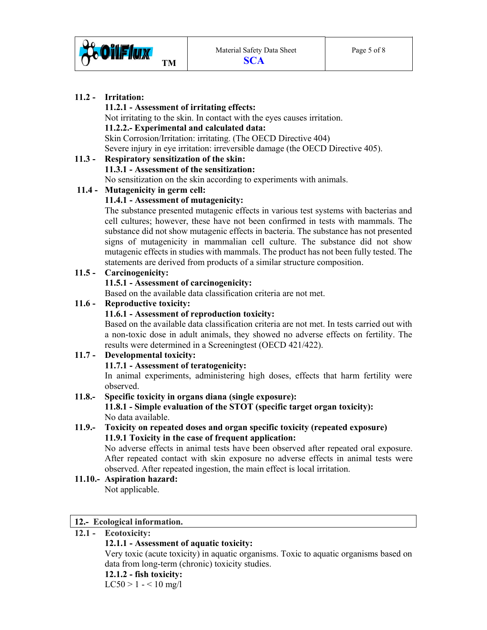

# **11.2 - Irritation:**

#### **11.2.1 - Assessment of irritating effects:**

 Not irritating to the skin. In contact with the eyes causes irritation. **11.2.2.- Experimental and calculated data:**  Skin Corrosion/Irritation: irritating. (The OECD Directive 404) Severe injury in eye irritation: irreversible damage (the OECD Directive 405).

# **11.3 - Respiratory sensitization of the skin: 11.3.1 - Assessment of the sensitization:**

No sensitization on the skin according to experiments with animals.

# **11.4 - Mutagenicity in germ cell:**

# **11.4.1 - Assessment of mutagenicity:**

 The substance presented mutagenic effects in various test systems with bacterias and cell cultures; however, these have not been confirmed in tests with mammals. The substance did not show mutagenic effects in bacteria. The substance has not presented signs of mutagenicity in mammalian cell culture. The substance did not show mutagenic effects in studies with mammals. The product has not been fully tested. The statements are derived from products of a similar structure composition.

# **11.5 - Carcinogenicity:**

# **11.5.1 - Assessment of carcinogenicity:**

Based on the available data classification criteria are not met.

# **11.6 - Reproductive toxicity:**

# **11.6.1 - Assessment of reproduction toxicity:**

 Based on the available data classification criteria are not met. In tests carried out with a non-toxic dose in adult animals, they showed no adverse effects on fertility. The results were determined in a Screeningtest (OECD 421/422).

# **11.7 - Developmental toxicity:**

# **11.7.1 - Assessment of teratogenicity:**  In animal experiments, administering high doses, effects that harm fertility were observed.

#### **11.8.- Specific toxicity in organs diana (single exposure): 11.8.1 - Simple evaluation of the STOT (specific target organ toxicity):**  No data available.

# **11.9.- Toxicity on repeated doses and organ specific toxicity (repeated exposure) 11.9.1 Toxicity in the case of frequent application:**

 No adverse effects in animal tests have been observed after repeated oral exposure. After repeated contact with skin exposure no adverse effects in animal tests were observed. After repeated ingestion, the main effect is local irritation.

#### **11.10.- Aspiration hazard:**  Not applicable.

## **12.- Ecological information.**

# **12.1 - Ecotoxicity:**

## **12.1.1 - Assessment of aquatic toxicity:**

 Very toxic (acute toxicity) in aquatic organisms. Toxic to aquatic organisms based on data from long-term (chronic) toxicity studies.

## **12.1.2 - fish toxicity:**

 $LC50 > 1 - 10$  mg/l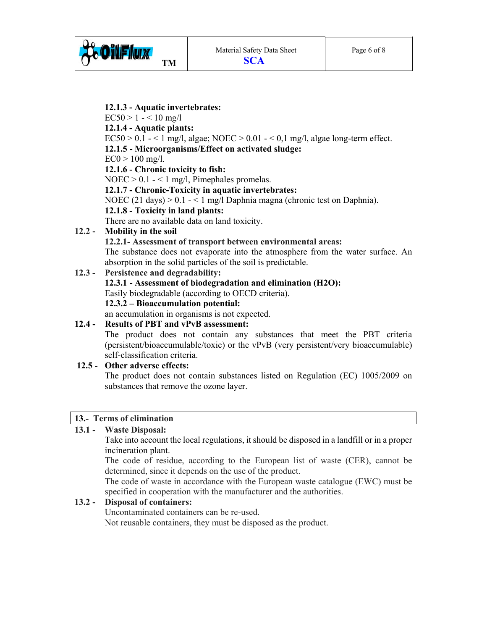

**12.1.3 - Aquatic invertebrates:**   $EC50 > 1 - 10$  mg/l **12.1.4 - Aquatic plants:**   $EC50 > 0.1 - 1$  mg/l, algae; NOEC  $> 0.01 - 0.1$  mg/l, algae long-term effect. **12.1.5 - Microorganisms/Effect on activated sludge:**  $EC0 > 100$  mg/l. **12.1.6 - Chronic toxicity to fish:**   $NOEC > 0.1 - 1$  mg/l, Pimephales promelas. **12.1.7 - Chronic-Toxicity in aquatic invertebrates:**  NOEC (21 days) > 0.1 - < 1 mg/l Daphnia magna (chronic test on Daphnia). **12.1.8 - Toxicity in land plants:**  There are no available data on land toxicity. **12.2 - Mobility in the soil 12.2.1- Assessment of transport between environmental areas:** The substance does not evaporate into the atmosphere from the water surface. An absorption in the solid particles of the soil is predictable. **12.3 - Persistence and degradability: 12.3.1 - Assessment of biodegradation and elimination (H2O):**  Easily biodegradable (according to OECD criteria). **12.3.2 – Bioaccumulation potential:**  an accumulation in organisms is not expected. **12.4 - Results of PBT and vPvB assessment:** 

 The product does not contain any substances that meet the PBT criteria (persistent/bioaccumulable/toxic) or the vPvB (very persistent/very bioaccumulable) self-classification criteria.

#### **12.5 - Other adverse effects:**

 The product does not contain substances listed on Regulation (EC) 1005/2009 on substances that remove the ozone layer.

#### **13.- Terms of elimination**

## **13.1 - Waste Disposal:**

Take into account the local regulations, it should be disposed in a landfill or in a proper incineration plant.

The code of residue, according to the European list of waste (CER), cannot be determined, since it depends on the use of the product.

 The code of waste in accordance with the European waste catalogue (EWC) must be specified in cooperation with the manufacturer and the authorities.

#### **13.2 - Disposal of containers:**

Uncontaminated containers can be re-used. Not reusable containers, they must be disposed as the product.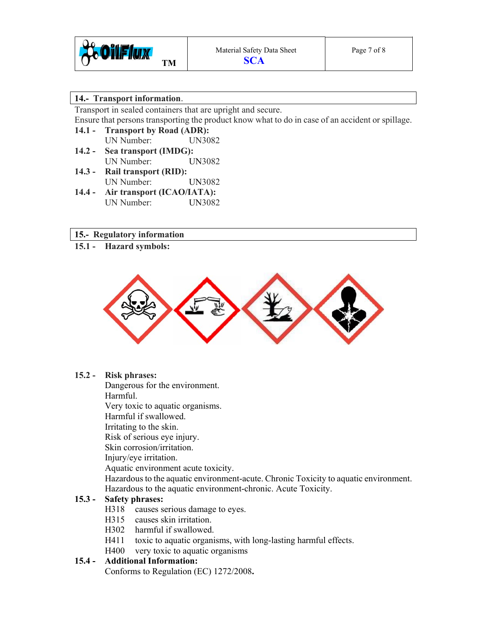

#### **14.- Transport information**.

Transport in sealed containers that are upright and secure.

Ensure that persons transporting the product know what to do in case of an accident or spillage.

- **14.1 Transport by Road (ADR):**  UN Number: UN3082 **14.2 - Sea transport (IMDG):**
- UN Number: UN3082 **14.3 - Rail transport (RID):** UN Number: UN3082
- **14.4 Air transport (ICAO/IATA):**  UN Number: UN3082

## **15.- Regulatory information**

**15.1 - Hazard symbols:** 



#### **15.2 - Risk phrases:**

Dangerous for the environment.

Harmful.

Very toxic to aquatic organisms.

Harmful if swallowed.

Irritating to the skin.

Risk of serious eye injury.

Skin corrosion/irritation.

Injury/eye irritation.

Aquatic environment acute toxicity.

 Hazardous to the aquatic environment-acute. Chronic Toxicity to aquatic environment. Hazardous to the aquatic environment-chronic. Acute Toxicity.

# **15.3 - Safety phrases:**

- H318 causes serious damage to eyes.
- H315 causes skin irritation.
- H302 harmful if swallowed.
- H411 toxic to aquatic organisms, with long-lasting harmful effects.
- H400 very toxic to aquatic organisms

# **15.4 - Additional Information:**

Conforms to Regulation (EC) 1272/2008**.**